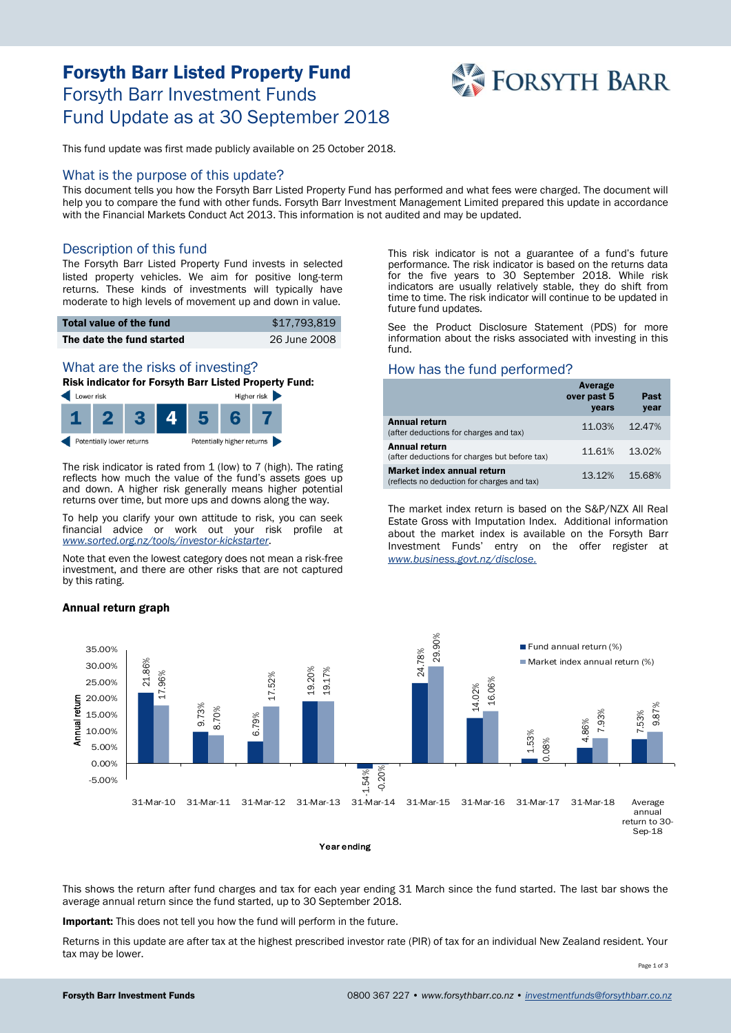# Forsyth Barr Listed Property Fund Forsyth Barr Investment Funds Fund Update as at 30 September 2018



This fund update was first made publicly available on 25 October 2018.

## What is the purpose of this update?

This document tells you how the Forsyth Barr Listed Property Fund has performed and what fees were charged. The document will help you to compare the fund with other funds. Forsyth Barr Investment Management Limited prepared this update in accordance with the Financial Markets Conduct Act 2013. This information is not audited and may be updated.

## Description of this fund

The Forsyth Barr Listed Property Fund invests in selected listed property vehicles. We aim for positive long-term returns. These kinds of investments will typically have moderate to high levels of movement up and down in value.

| Total value of the fund   | \$17.793.819 |
|---------------------------|--------------|
| The date the fund started | 26 June 2008 |

# What are the risks of investing?

Risk indicator for Forsyth Barr Listed Property Fund:



The risk indicator is rated from 1 (low) to 7 (high). The rating reflects how much the value of the fund's assets goes up and down. A higher risk generally means higher potential returns over time, but more ups and downs along the way.

To help you clarify your own attitude to risk, you can seek financial advice or work out your risk profile at *[www.sorted.org.nz/tools/investor-kickstarter](http://www.sorted.org.nz/tools/investor-kickstarter)*.

Note that even the lowest category does not mean a risk-free investment, and there are other risks that are not captured by this rating.

#### Annual return graph

This risk indicator is not a guarantee of a fund's future performance. The risk indicator is based on the returns data for the five years to 30 September 2018. While risk indicators are usually relatively stable, they do shift from time to time. The risk indicator will continue to be updated in future fund updates.

See the Product Disclosure Statement (PDS) for more information about the risks associated with investing in this fund.

## How has the fund performed?

|                                                                           | Average<br>over past 5<br>years | Past<br>year |
|---------------------------------------------------------------------------|---------------------------------|--------------|
| <b>Annual return</b><br>(after deductions for charges and tax)            | 11.03%                          | 12.47%       |
| <b>Annual return</b><br>(after deductions for charges but before tax)     | 11.61%                          | 13.02%       |
| Market index annual return<br>(reflects no deduction for charges and tax) | 13.12%                          | 15.68%       |

The market index return is based on the S&P/NZX All Real Estate Gross with Imputation Index. Additional information about the market index is available on the Forsyth Barr Investment Funds' entry on the offer register at *[www.business.govt.nz/disclose.](http://www.business.govt.nz/disclose)*



This shows the return after fund charges and tax for each year ending 31 March since the fund started. The last bar shows the average annual return since the fund started, up to 30 September 2018.

Important: This does not tell you how the fund will perform in the future.

Returns in this update are after tax at the highest prescribed investor rate (PIR) of tax for an individual New Zealand resident. Your tax may be lower.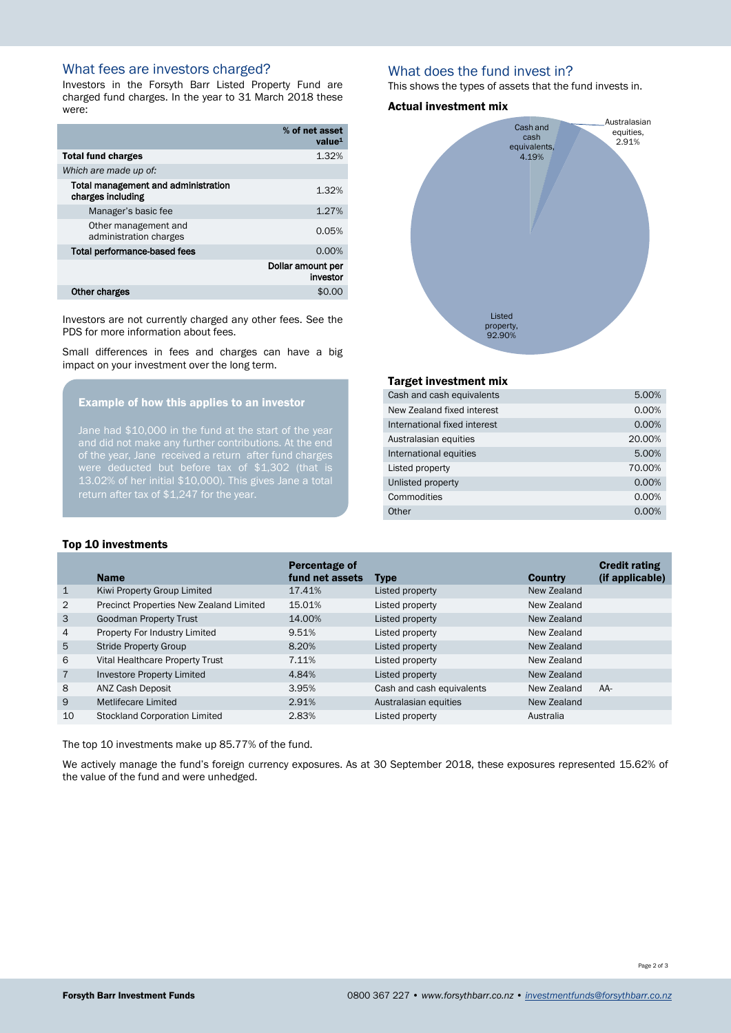# What fees are investors charged?

Investors in the Forsyth Barr Listed Property Fund are charged fund charges. In the year to 31 March 2018 these were:

|                                                          | % of net asset<br>value <sup>1</sup> |
|----------------------------------------------------------|--------------------------------------|
| <b>Total fund charges</b>                                | 1.32%                                |
| Which are made up of:                                    |                                      |
| Total management and administration<br>charges including | 1.32%                                |
| Manager's basic fee                                      | 1.27%                                |
| Other management and<br>administration charges           | 0.05%                                |
| <b>Total performance-based fees</b>                      | 0.00%                                |
|                                                          | Dollar amount per<br>investor        |
| Other charges                                            | \$0.0                                |

Investors are not currently charged any other fees. See the PDS for more information about fees.

Small differences in fees and charges can have a big impact on your investment over the long term.

## Example of how this applies to an investor

Jane had \$10,000 in the fund at the start of the year of the year, Jane received a return after fund charges were deducted but before tax of \$1,302 (that is 13.02% of her initial \$10,000). This gives Jane a total return after tax of \$1,247 for the year.

## What does the fund invest in?

This shows the types of assets that the fund invests in.

#### Actual investment mix



## Target investment mix

| Cash and cash equivalents    | 5.00%    |
|------------------------------|----------|
| New Zealand fixed interest   | 0.00%    |
| International fixed interest | 0.00%    |
| Australasian equities        | 20.00%   |
| International equities       | 5.00%    |
| Listed property              | 70.00%   |
| Unlisted property            | 0.00%    |
| Commodities                  | 0.00%    |
| Other                        | $0.00\%$ |

#### Top 10 investments

|                | <b>Name</b>                             | Percentage of<br>fund net assets | <b>Type</b>               | <b>Country</b> | <b>Credit rating</b><br>(if applicable) |
|----------------|-----------------------------------------|----------------------------------|---------------------------|----------------|-----------------------------------------|
| $\mathbf 1$    | Kiwi Property Group Limited             | 17.41%                           | Listed property           | New Zealand    |                                         |
| 2              | Precinct Properties New Zealand Limited | 15.01%                           | Listed property           | New Zealand    |                                         |
| 3              | Goodman Property Trust                  | 14.00%                           | Listed property           | New Zealand    |                                         |
| 4              | Property For Industry Limited           | 9.51%                            | Listed property           | New Zealand    |                                         |
| 5              | <b>Stride Property Group</b>            | 8.20%                            | Listed property           | New Zealand    |                                         |
| 6              | Vital Healthcare Property Trust         | 7.11%                            | Listed property           | New Zealand    |                                         |
| $\overline{7}$ | Investore Property Limited              | 4.84%                            | Listed property           | New Zealand    |                                         |
| 8              | <b>ANZ Cash Deposit</b>                 | 3.95%                            | Cash and cash equivalents | New Zealand    | $AA-$                                   |
| 9              | Metlifecare Limited                     | 2.91%                            | Australasian equities     | New Zealand    |                                         |
| 10             | <b>Stockland Corporation Limited</b>    | 2.83%                            | Listed property           | Australia      |                                         |

The top 10 investments make up 85.77% of the fund.

We actively manage the fund's foreign currency exposures. As at 30 September 2018, these exposures represented 15.62% of the value of the fund and were unhedged.